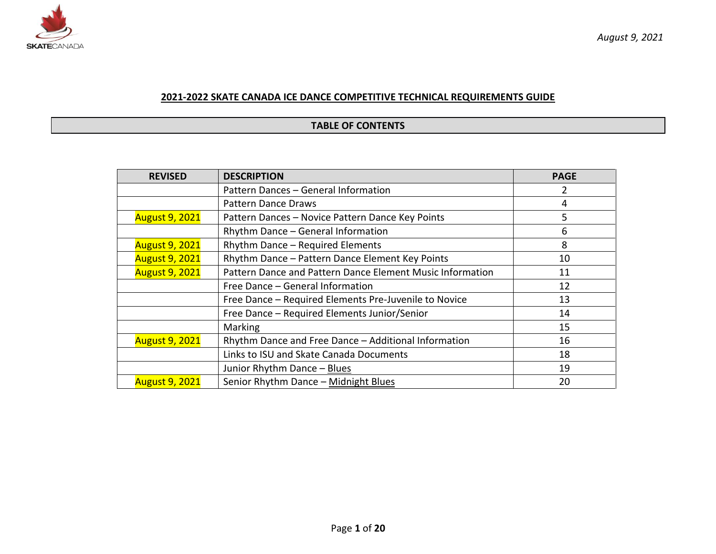

## **2021-2022 SKATE CANADA ICE DANCE COMPETITIVE TECHNICAL REQUIREMENTS GUIDE**

#### **TABLE OF CONTENTS**

| <b>REVISED</b>        | <b>DESCRIPTION</b>                                        | <b>PAGE</b> |
|-----------------------|-----------------------------------------------------------|-------------|
|                       | Pattern Dances - General Information                      |             |
|                       | <b>Pattern Dance Draws</b>                                | 4           |
| <b>August 9, 2021</b> | Pattern Dances - Novice Pattern Dance Key Points          | 5           |
|                       | Rhythm Dance - General Information                        | 6           |
| <b>August 9, 2021</b> | Rhythm Dance - Required Elements                          | 8           |
| <b>August 9, 2021</b> | Rhythm Dance - Pattern Dance Element Key Points           | 10          |
| <b>August 9, 2021</b> | Pattern Dance and Pattern Dance Element Music Information | 11          |
|                       | Free Dance - General Information                          | 12          |
|                       | Free Dance - Required Elements Pre-Juvenile to Novice     | 13          |
|                       | Free Dance - Required Elements Junior/Senior              | 14          |
|                       | Marking                                                   | 15          |
| <b>August 9, 2021</b> | Rhythm Dance and Free Dance - Additional Information      | 16          |
|                       | Links to ISU and Skate Canada Documents                   | 18          |
|                       | Junior Rhythm Dance - Blues                               | 19          |
| <b>August 9, 2021</b> | Senior Rhythm Dance - Midnight Blues                      | 20          |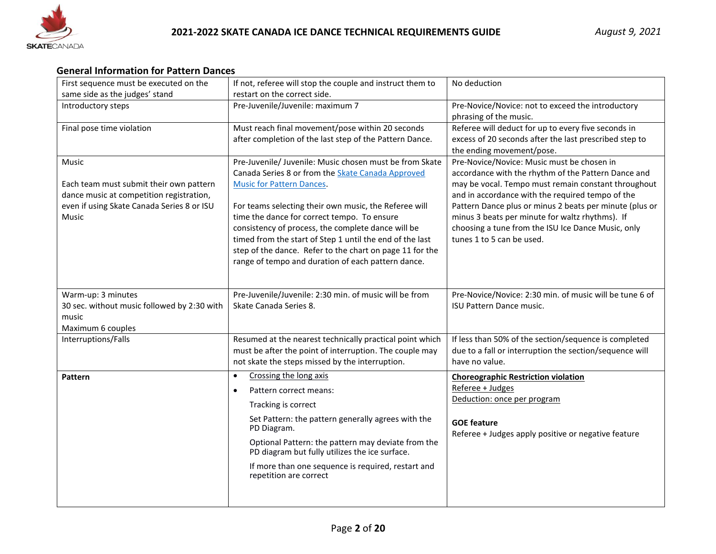

## **General Information for Pattern Dances**

| First sequence must be executed on the                                                 | If not, referee will stop the couple and instruct them to                                            | No deduction                                                                                            |
|----------------------------------------------------------------------------------------|------------------------------------------------------------------------------------------------------|---------------------------------------------------------------------------------------------------------|
| same side as the judges' stand                                                         | restart on the correct side.                                                                         |                                                                                                         |
| Introductory steps                                                                     | Pre-Juvenile/Juvenile: maximum 7                                                                     | Pre-Novice/Novice: not to exceed the introductory                                                       |
|                                                                                        |                                                                                                      | phrasing of the music.                                                                                  |
| Final pose time violation                                                              | Must reach final movement/pose within 20 seconds                                                     | Referee will deduct for up to every five seconds in                                                     |
|                                                                                        | after completion of the last step of the Pattern Dance.                                              | excess of 20 seconds after the last prescribed step to                                                  |
|                                                                                        |                                                                                                      | the ending movement/pose.                                                                               |
| Music                                                                                  | Pre-Juvenile/ Juvenile: Music chosen must be from Skate                                              | Pre-Novice/Novice: Music must be chosen in                                                              |
|                                                                                        | Canada Series 8 or from the Skate Canada Approved                                                    | accordance with the rhythm of the Pattern Dance and                                                     |
| Each team must submit their own pattern                                                | <b>Music for Pattern Dances.</b>                                                                     | may be vocal. Tempo must remain constant throughout<br>and in accordance with the required tempo of the |
| dance music at competition registration,<br>even if using Skate Canada Series 8 or ISU | For teams selecting their own music, the Referee will                                                | Pattern Dance plus or minus 2 beats per minute (plus or                                                 |
| Music                                                                                  | time the dance for correct tempo. To ensure                                                          | minus 3 beats per minute for waltz rhythms). If                                                         |
|                                                                                        | consistency of process, the complete dance will be                                                   | choosing a tune from the ISU Ice Dance Music, only                                                      |
|                                                                                        | timed from the start of Step 1 until the end of the last                                             | tunes 1 to 5 can be used.                                                                               |
|                                                                                        | step of the dance. Refer to the chart on page 11 for the                                             |                                                                                                         |
|                                                                                        | range of tempo and duration of each pattern dance.                                                   |                                                                                                         |
|                                                                                        |                                                                                                      |                                                                                                         |
|                                                                                        |                                                                                                      |                                                                                                         |
| Warm-up: 3 minutes                                                                     | Pre-Juvenile/Juvenile: 2:30 min. of music will be from                                               | Pre-Novice/Novice: 2:30 min. of music will be tune 6 of                                                 |
| 30 sec. without music followed by 2:30 with                                            | Skate Canada Series 8.                                                                               | <b>ISU Pattern Dance music.</b>                                                                         |
| music                                                                                  |                                                                                                      |                                                                                                         |
| Maximum 6 couples                                                                      |                                                                                                      |                                                                                                         |
| Interruptions/Falls                                                                    | Resumed at the nearest technically practical point which                                             | If less than 50% of the section/sequence is completed                                                   |
|                                                                                        | must be after the point of interruption. The couple may                                              | due to a fall or interruption the section/sequence will                                                 |
|                                                                                        | not skate the steps missed by the interruption.                                                      | have no value.                                                                                          |
| Pattern                                                                                | Crossing the long axis<br>$\bullet$                                                                  | <b>Choreographic Restriction violation</b>                                                              |
|                                                                                        | Pattern correct means:<br>$\bullet$                                                                  | Referee + Judges                                                                                        |
|                                                                                        | Tracking is correct                                                                                  | Deduction: once per program                                                                             |
|                                                                                        | Set Pattern: the pattern generally agrees with the                                                   | <b>GOE feature</b>                                                                                      |
|                                                                                        | PD Diagram.                                                                                          | Referee + Judges apply positive or negative feature                                                     |
|                                                                                        | Optional Pattern: the pattern may deviate from the<br>PD diagram but fully utilizes the ice surface. |                                                                                                         |
|                                                                                        | If more than one sequence is required, restart and<br>repetition are correct                         |                                                                                                         |
|                                                                                        |                                                                                                      |                                                                                                         |
|                                                                                        |                                                                                                      |                                                                                                         |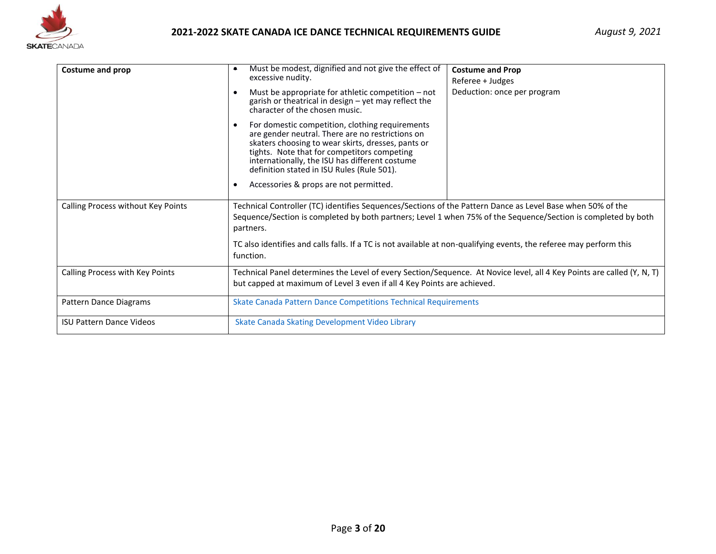

| Costume and prop                   | Must be modest, dignified and not give the effect of<br>excessive nudity.<br>Must be appropriate for athletic competition $-$ not<br>garish or theatrical in design - yet may reflect the<br>character of the chosen music.<br>For domestic competition, clothing requirements<br>are gender neutral. There are no restrictions on<br>skaters choosing to wear skirts, dresses, pants or<br>tights. Note that for competitors competing<br>internationally, the ISU has different costume<br>definition stated in ISU Rules (Rule 501).<br>Accessories & props are not permitted.<br>$\bullet$ | <b>Costume and Prop</b><br>Referee + Judges<br>Deduction: once per program |  |
|------------------------------------|------------------------------------------------------------------------------------------------------------------------------------------------------------------------------------------------------------------------------------------------------------------------------------------------------------------------------------------------------------------------------------------------------------------------------------------------------------------------------------------------------------------------------------------------------------------------------------------------|----------------------------------------------------------------------------|--|
| Calling Process without Key Points | Technical Controller (TC) identifies Sequences/Sections of the Pattern Dance as Level Base when 50% of the<br>Sequence/Section is completed by both partners; Level 1 when 75% of the Sequence/Section is completed by both<br>partners.<br>TC also identifies and calls falls. If a TC is not available at non-qualifying events, the referee may perform this<br>function.                                                                                                                                                                                                                   |                                                                            |  |
| Calling Process with Key Points    | Technical Panel determines the Level of every Section/Sequence. At Novice level, all 4 Key Points are called (Y, N, T)<br>but capped at maximum of Level 3 even if all 4 Key Points are achieved.                                                                                                                                                                                                                                                                                                                                                                                              |                                                                            |  |
| Pattern Dance Diagrams             | <b>Skate Canada Pattern Dance Competitions Technical Requirements</b>                                                                                                                                                                                                                                                                                                                                                                                                                                                                                                                          |                                                                            |  |
| <b>ISU Pattern Dance Videos</b>    | Skate Canada Skating Development Video Library                                                                                                                                                                                                                                                                                                                                                                                                                                                                                                                                                 |                                                                            |  |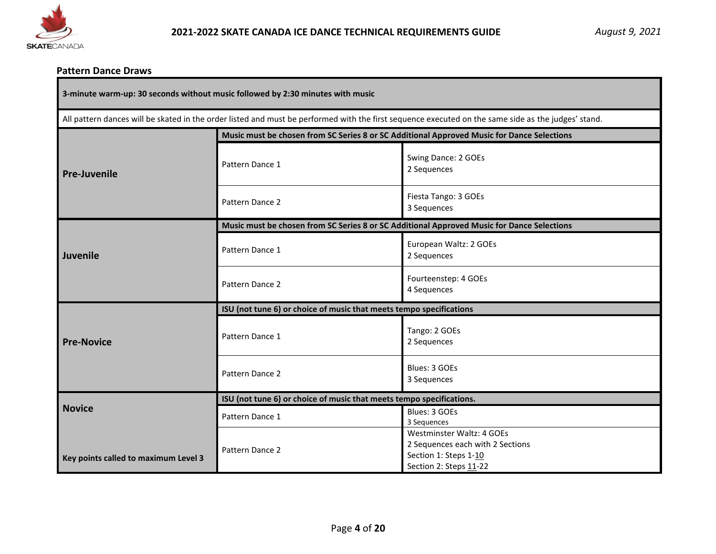

#### **Pattern Dance Draws**

All pattern dances will be skated in the order listed and must be performed with the first sequence executed on the same side as the judges' stand.

|                                      | Music must be chosen from SC Series 8 or SC Additional Approved Music for Dance Selections |                                                                                                                  |  |
|--------------------------------------|--------------------------------------------------------------------------------------------|------------------------------------------------------------------------------------------------------------------|--|
| <b>Pre-Juvenile</b>                  | Pattern Dance 1                                                                            | Swing Dance: 2 GOEs<br>2 Sequences                                                                               |  |
|                                      | Pattern Dance 2                                                                            | Fiesta Tango: 3 GOEs<br>3 Sequences                                                                              |  |
|                                      | Music must be chosen from SC Series 8 or SC Additional Approved Music for Dance Selections |                                                                                                                  |  |
| <b>Juvenile</b>                      | Pattern Dance 1                                                                            | European Waltz: 2 GOEs<br>2 Sequences                                                                            |  |
|                                      | Pattern Dance 2                                                                            | Fourteenstep: 4 GOEs<br>4 Sequences                                                                              |  |
|                                      | ISU (not tune 6) or choice of music that meets tempo specifications                        |                                                                                                                  |  |
| <b>Pre-Novice</b>                    | Pattern Dance 1                                                                            | Tango: 2 GOEs<br>2 Sequences                                                                                     |  |
|                                      | Pattern Dance 2                                                                            | Blues: 3 GOEs<br>3 Sequences                                                                                     |  |
|                                      | ISU (not tune 6) or choice of music that meets tempo specifications.                       |                                                                                                                  |  |
| <b>Novice</b>                        | Pattern Dance 1                                                                            | Blues: 3 GOEs<br>3 Sequences                                                                                     |  |
| Key points called to maximum Level 3 | Pattern Dance 2                                                                            | Westminster Waltz: 4 GOEs<br>2 Sequences each with 2 Sections<br>Section 1: Steps 1-10<br>Section 2: Steps 11-22 |  |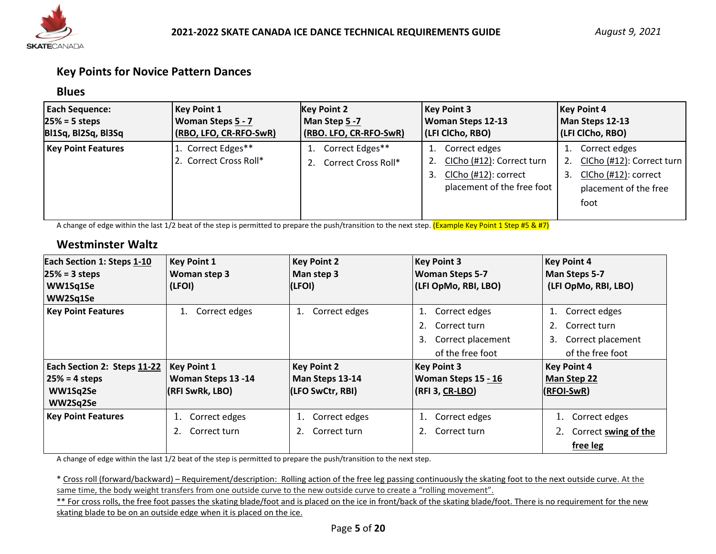

## **Key Points for Novice Pattern Dances**

#### **Blues**

| <b>Each Sequence:</b>     | <b>Key Point 1</b>                           | <b>Key Point 2</b>                     | <b>Key Point 3</b>                                                                               | <b>Key Point 4</b>                                                                                              |
|---------------------------|----------------------------------------------|----------------------------------------|--------------------------------------------------------------------------------------------------|-----------------------------------------------------------------------------------------------------------------|
| $25% = 5$ steps           | <b>Woman Steps 5 - 7</b>                     | Man Step 5 -7                          | <b>Woman Steps 12-13</b>                                                                         | Man Steps 12-13                                                                                                 |
| Bl1Sq, Bl2Sq, Bl3Sq       | (RBO, LFO, CR-RFO-SwR)                       | (RBO. LFO, CR-RFO-SwR)                 | (LFI CICho, RBO)                                                                                 | (LFI ClCho, RBO)                                                                                                |
| <b>Key Point Features</b> | 1. Correct Edges**<br>2. Correct Cross Roll* | Correct Edges**<br>Correct Cross Roll* | Correct edges<br>CICho (#12): Correct turn<br>ClCho (#12): correct<br>placement of the free foot | Correct edges<br>1.<br>CICho (#12): Correct turn<br>ClCho (#12): correct<br>3.<br>placement of the free<br>foot |

A change of edge within the last 1/2 beat of the step is permitted to prepare the push/transition to the next step. (Example Key Point 1 Step #5 & #7)

## **Westminster Waltz**

| Each Section 1: Steps 1-10  | <b>Key Point 1</b>  | <b>Key Point 2</b>  | <b>Key Point 3</b>      | <b>Key Point 4</b>      |
|-----------------------------|---------------------|---------------------|-------------------------|-------------------------|
| $25% = 3$ steps             | Woman step 3        | Man step 3          | <b>Woman Steps 5-7</b>  | Man Steps 5-7           |
| WW1Sq1Se                    | (LFOI)              | (LFOI)              | (LFI OpMo, RBI, LBO)    | (LFI OpMo, RBI, LBO)    |
| WW2Sq1Se                    |                     |                     |                         |                         |
| <b>Key Point Features</b>   | Correct edges<br>1. | Correct edges<br>1. | Correct edges           | Correct edges<br>1.     |
|                             |                     |                     | Correct turn            | Correct turn            |
|                             |                     |                     | Correct placement<br>3. | Correct placement<br>3. |
|                             |                     |                     | of the free foot        | of the free foot        |
| Each Section 2: Steps 11-22 | <b>Key Point 1</b>  | <b>Key Point 2</b>  | <b>Key Point 3</b>      | <b>Key Point 4</b>      |
| $25% = 4$ steps             | Woman Steps 13 -14  | Man Steps 13-14     | Woman Steps 15 - 16     | Man Step 22             |
| WW1Sq2Se                    | (RFI SwRk, LBO)     | (LFO SwCtr, RBI)    | (RFI 3, CR-LBO)         | (RFOI-SwR)              |
| WW2Sq2Se                    |                     |                     |                         |                         |
| <b>Key Point Features</b>   | Correct edges<br>1. | Correct edges<br>1. | Correct edges           | Correct edges           |
|                             | Correct turn<br>2.  | Correct turn<br>2.  | 2.<br>Correct turn      | Correct swing of the    |
|                             |                     |                     |                         | free leg                |

A change of edge within the last 1/2 beat of the step is permitted to prepare the push/transition to the next step.

\* Cross roll (forward/backward) – Requirement/description: Rolling action of the free leg passing continuously the skating foot to the next outside curve. At the same time, the body weight transfers from one outside curve to the new outside curve to create a "rolling movement".

\*\* For cross rolls, the free foot passes the skating blade/foot and is placed on the ice in front/back of the skating blade/foot. There is no requirement for the new skating blade to be on an outside edge when it is placed on the ice.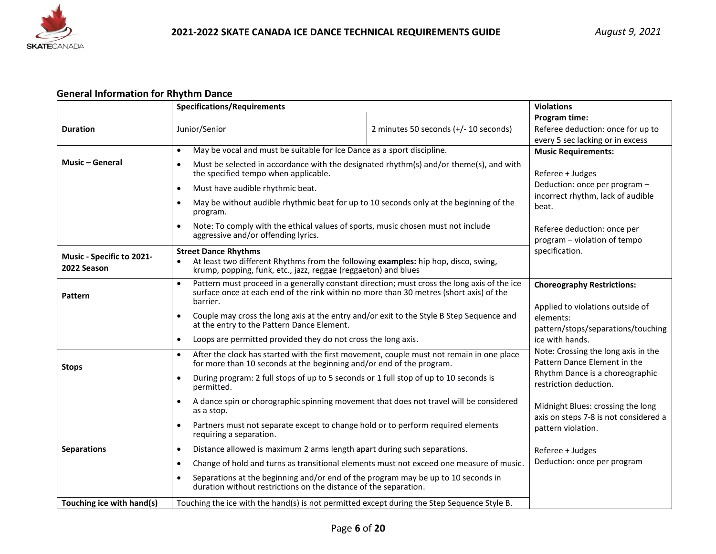

## **General Information for Rhythm Dance**

|                                          | <b>Specifications/Requirements</b>                                                                                                                                                                             |                                                                                         | <b>Violations</b>                                                                                      |  |
|------------------------------------------|----------------------------------------------------------------------------------------------------------------------------------------------------------------------------------------------------------------|-----------------------------------------------------------------------------------------|--------------------------------------------------------------------------------------------------------|--|
| <b>Duration</b>                          | Junior/Senior                                                                                                                                                                                                  | 2 minutes 50 seconds (+/- 10 seconds)                                                   | Program time:<br>Referee deduction: once for up to                                                     |  |
|                                          | May be vocal and must be suitable for Ice Dance as a sport discipline.<br>$\bullet$                                                                                                                            |                                                                                         | every 5 sec lacking or in excess<br><b>Music Requirements:</b>                                         |  |
| <b>Music - General</b>                   | Must be selected in accordance with the designated rhythm(s) and/or theme(s), and with<br>the specified tempo when applicable.                                                                                 |                                                                                         | Referee + Judges<br>Deduction: once per program -                                                      |  |
|                                          | Must have audible rhythmic beat.<br>$\bullet$<br>May be without audible rhythmic beat for up to 10 seconds only at the beginning of the<br>program.                                                            |                                                                                         | incorrect rhythm, lack of audible<br>beat.                                                             |  |
|                                          | Note: To comply with the ethical values of sports, music chosen must not include<br>aggressive and/or offending lyrics.                                                                                        | Referee deduction: once per<br>program - violation of tempo                             |                                                                                                        |  |
| Music - Specific to 2021-<br>2022 Season | <b>Street Dance Rhythms</b><br>At least two different Rhythms from the following examples: hip hop, disco, swing,<br>$\bullet$<br>krump, popping, funk, etc., jazz, reggae (reggaeton) and blues               |                                                                                         | specification.                                                                                         |  |
| Pattern                                  | Pattern must proceed in a generally constant direction; must cross the long axis of the ice<br>$\bullet$<br>surface once at each end of the rink within no more than 30 metres (short axis) of the<br>barrier. | <b>Choreography Restrictions:</b><br>Applied to violations outside of                   |                                                                                                        |  |
|                                          | Couple may cross the long axis at the entry and/or exit to the Style B Step Sequence and<br>$\bullet$<br>at the entry to the Pattern Dance Element.                                                            |                                                                                         | elements:<br>pattern/stops/separations/touching<br>ice with hands.                                     |  |
|                                          | $\bullet$                                                                                                                                                                                                      | Loops are permitted provided they do not cross the long axis.                           |                                                                                                        |  |
| <b>Stops</b>                             | After the clock has started with the first movement, couple must not remain in one place<br>$\bullet$<br>for more than 10 seconds at the beginning and/or end of the program.                                  |                                                                                         | Note: Crossing the long axis in the<br>Pattern Dance Element in the<br>Rhythm Dance is a choreographic |  |
|                                          | $\bullet$<br>permitted.                                                                                                                                                                                        | During program: 2 full stops of up to 5 seconds or 1 full stop of up to 10 seconds is   |                                                                                                        |  |
|                                          | A dance spin or chorographic spinning movement that does not travel will be considered<br>$\bullet$<br>as a stop.                                                                                              |                                                                                         | Midnight Blues: crossing the long<br>axis on steps 7-8 is not considered a                             |  |
|                                          | Partners must not separate except to change hold or to perform required elements<br>$\bullet$<br>requiring a separation.                                                                                       |                                                                                         | pattern violation.                                                                                     |  |
| <b>Separations</b>                       | Distance allowed is maximum 2 arms length apart during such separations.<br>$\bullet$                                                                                                                          |                                                                                         | Referee + Judges                                                                                       |  |
|                                          | $\bullet$                                                                                                                                                                                                      | Change of hold and turns as transitional elements must not exceed one measure of music. |                                                                                                        |  |
|                                          | Separations at the beginning and/or end of the program may be up to 10 seconds in<br>$\bullet$<br>duration without restrictions on the distance of the separation.                                             |                                                                                         |                                                                                                        |  |
| Touching ice with hand(s)                | Touching the ice with the hand(s) is not permitted except during the Step Sequence Style B.                                                                                                                    |                                                                                         |                                                                                                        |  |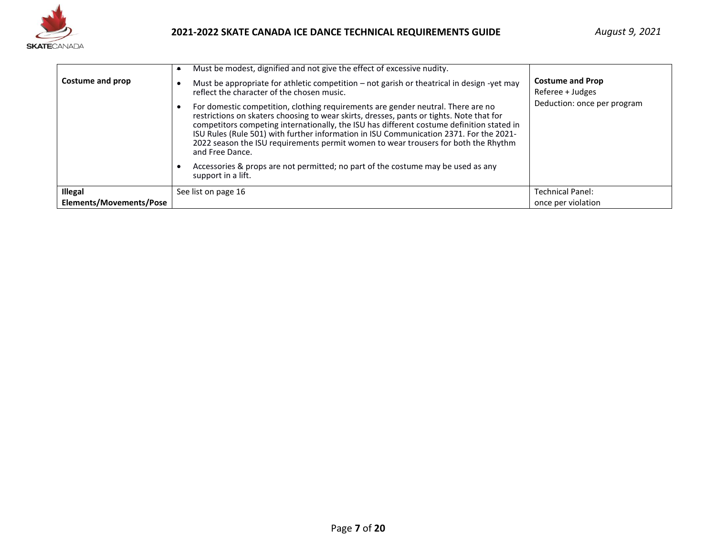

| Costume and prop        | Must be modest, dignified and not give the effect of excessive nudity.<br>$\bullet$<br>Must be appropriate for athletic competition – not garish or theatrical in design -yet may<br>reflect the character of the chosen music.<br>For domestic competition, clothing requirements are gender neutral. There are no<br>restrictions on skaters choosing to wear skirts, dresses, pants or tights. Note that for<br>competitors competing internationally, the ISU has different costume definition stated in<br>ISU Rules (Rule 501) with further information in ISU Communication 2371. For the 2021-<br>2022 season the ISU requirements permit women to wear trousers for both the Rhythm<br>and Free Dance.<br>Accessories & props are not permitted; no part of the costume may be used as any<br>support in a lift. | <b>Costume and Prop</b><br>Referee + Judges<br>Deduction: once per program |
|-------------------------|---------------------------------------------------------------------------------------------------------------------------------------------------------------------------------------------------------------------------------------------------------------------------------------------------------------------------------------------------------------------------------------------------------------------------------------------------------------------------------------------------------------------------------------------------------------------------------------------------------------------------------------------------------------------------------------------------------------------------------------------------------------------------------------------------------------------------|----------------------------------------------------------------------------|
| Illegal                 | See list on page 16                                                                                                                                                                                                                                                                                                                                                                                                                                                                                                                                                                                                                                                                                                                                                                                                       | <b>Technical Panel:</b>                                                    |
| Elements/Movements/Pose |                                                                                                                                                                                                                                                                                                                                                                                                                                                                                                                                                                                                                                                                                                                                                                                                                           | once per violation                                                         |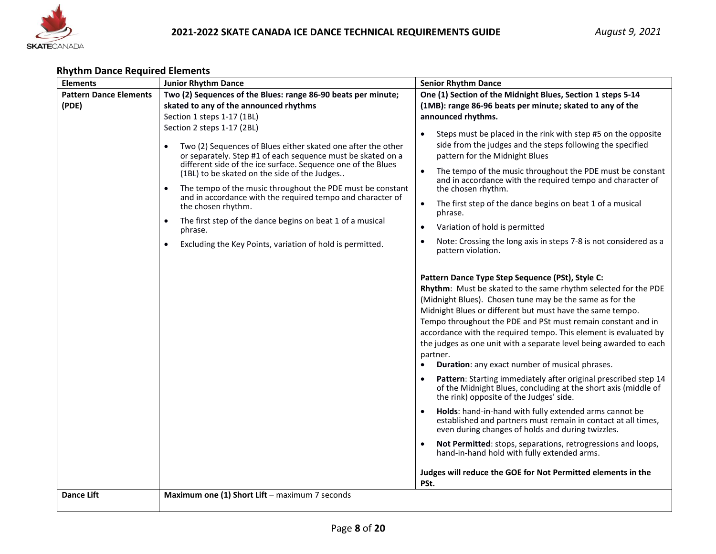

## **Rhythm Dance Required Elements**

| <b>Elements</b>                        | <b>Junior Rhythm Dance</b>                                                                                                                                                                                                                                                                                                                                                                                                                                                                                                                                                                                                                                                                                                                                    | <b>Senior Rhythm Dance</b>                                                                                                                                                                                                                                                                                                                                                                                                                                                                                                                                                                                                                                                                                                                                                                                                                                                                                                                                                                                                                                                                                                                                                                                                                                                                                                                                                                                                                                                                                                                                                                                                                                                                                                                                                                                                             |
|----------------------------------------|---------------------------------------------------------------------------------------------------------------------------------------------------------------------------------------------------------------------------------------------------------------------------------------------------------------------------------------------------------------------------------------------------------------------------------------------------------------------------------------------------------------------------------------------------------------------------------------------------------------------------------------------------------------------------------------------------------------------------------------------------------------|----------------------------------------------------------------------------------------------------------------------------------------------------------------------------------------------------------------------------------------------------------------------------------------------------------------------------------------------------------------------------------------------------------------------------------------------------------------------------------------------------------------------------------------------------------------------------------------------------------------------------------------------------------------------------------------------------------------------------------------------------------------------------------------------------------------------------------------------------------------------------------------------------------------------------------------------------------------------------------------------------------------------------------------------------------------------------------------------------------------------------------------------------------------------------------------------------------------------------------------------------------------------------------------------------------------------------------------------------------------------------------------------------------------------------------------------------------------------------------------------------------------------------------------------------------------------------------------------------------------------------------------------------------------------------------------------------------------------------------------------------------------------------------------------------------------------------------------|
| <b>Pattern Dance Elements</b><br>(PDE) | Two (2) Sequences of the Blues: range 86-90 beats per minute;<br>skated to any of the announced rhythms<br>Section 1 steps 1-17 (1BL)<br>Section 2 steps 1-17 (2BL)<br>Two (2) Sequences of Blues either skated one after the other<br>$\bullet$<br>or separately. Step #1 of each sequence must be skated on a<br>different side of the ice surface. Sequence one of the Blues<br>(1BL) to be skated on the side of the Judges<br>The tempo of the music throughout the PDE must be constant<br>$\bullet$<br>and in accordance with the required tempo and character of<br>the chosen rhythm.<br>The first step of the dance begins on beat 1 of a musical<br>$\bullet$<br>phrase.<br>Excluding the Key Points, variation of hold is permitted.<br>$\bullet$ | One (1) Section of the Midnight Blues, Section 1 steps 5-14<br>(1MB): range 86-96 beats per minute; skated to any of the<br>announced rhythms.<br>Steps must be placed in the rink with step #5 on the opposite<br>$\bullet$<br>side from the judges and the steps following the specified<br>pattern for the Midnight Blues<br>The tempo of the music throughout the PDE must be constant<br>$\bullet$<br>and in accordance with the required tempo and character of<br>the chosen rhythm.<br>The first step of the dance begins on beat 1 of a musical<br>$\bullet$<br>phrase.<br>Variation of hold is permitted<br>$\bullet$<br>Note: Crossing the long axis in steps 7-8 is not considered as a<br>pattern violation.<br>Pattern Dance Type Step Sequence (PSt), Style C:<br>Rhythm: Must be skated to the same rhythm selected for the PDE<br>(Midnight Blues). Chosen tune may be the same as for the<br>Midnight Blues or different but must have the same tempo.<br>Tempo throughout the PDE and PSt must remain constant and in<br>accordance with the required tempo. This element is evaluated by<br>the judges as one unit with a separate level being awarded to each<br>partner.<br>Duration: any exact number of musical phrases.<br>$\bullet$<br>Pattern: Starting immediately after original prescribed step 14<br>$\bullet$<br>of the Midnight Blues, concluding at the short axis (middle of<br>the rink) opposite of the Judges' side.<br>Holds: hand-in-hand with fully extended arms cannot be<br>established and partners must remain in contact at all times,<br>even during changes of holds and during twizzles.<br>Not Permitted: stops, separations, retrogressions and loops,<br>$\bullet$<br>hand-in-hand hold with fully extended arms.<br>Judges will reduce the GOE for Not Permitted elements in the |
| <b>Dance Lift</b>                      | Maximum one (1) Short Lift - maximum 7 seconds                                                                                                                                                                                                                                                                                                                                                                                                                                                                                                                                                                                                                                                                                                                | PSt.                                                                                                                                                                                                                                                                                                                                                                                                                                                                                                                                                                                                                                                                                                                                                                                                                                                                                                                                                                                                                                                                                                                                                                                                                                                                                                                                                                                                                                                                                                                                                                                                                                                                                                                                                                                                                                   |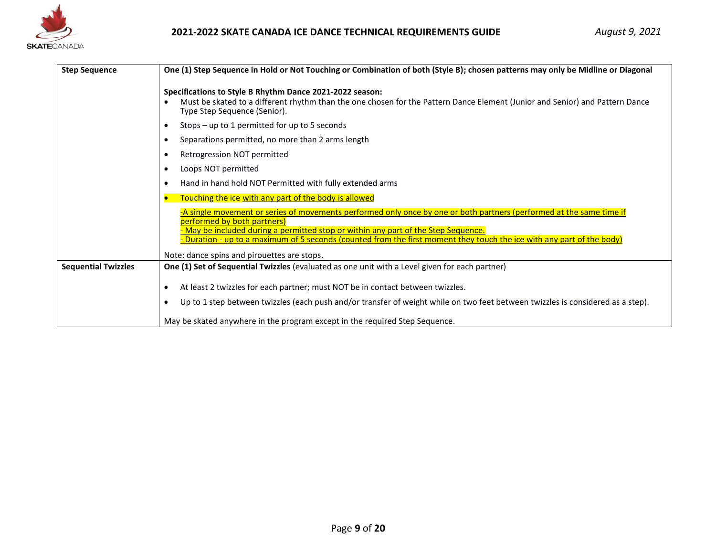

## **2021-2022 SKATE CANADA ICE DANCE TECHNICAL REQUIREMENTS GUIDE**

| <b>Step Sequence</b>       | One (1) Step Sequence in Hold or Not Touching or Combination of both (Style B); chosen patterns may only be Midline or Diagonal                                                                                                                                                                                                                                        |  |  |  |
|----------------------------|------------------------------------------------------------------------------------------------------------------------------------------------------------------------------------------------------------------------------------------------------------------------------------------------------------------------------------------------------------------------|--|--|--|
|                            | Specifications to Style B Rhythm Dance 2021-2022 season:<br>Must be skated to a different rhythm than the one chosen for the Pattern Dance Element (Junior and Senior) and Pattern Dance<br>Type Step Sequence (Senior).                                                                                                                                               |  |  |  |
|                            | Stops - up to 1 permitted for up to 5 seconds<br>$\bullet$                                                                                                                                                                                                                                                                                                             |  |  |  |
|                            | Separations permitted, no more than 2 arms length<br>$\bullet$                                                                                                                                                                                                                                                                                                         |  |  |  |
|                            | Retrogression NOT permitted<br>$\bullet$                                                                                                                                                                                                                                                                                                                               |  |  |  |
|                            | Loops NOT permitted<br>$\bullet$                                                                                                                                                                                                                                                                                                                                       |  |  |  |
|                            | Hand in hand hold NOT Permitted with fully extended arms<br>$\bullet$                                                                                                                                                                                                                                                                                                  |  |  |  |
|                            | Touching the ice with any part of the body is allowed<br>$\bullet$                                                                                                                                                                                                                                                                                                     |  |  |  |
|                            | -A single movement or series of movements performed only once by one or both partners (performed at the same time if<br>performed by both partners)<br>May be included during a permitted stop or within any part of the Step Sequence.<br><b>Duration - up to a maximum of 5 seconds (counted from the first moment they touch the ice with any part of the body)</b> |  |  |  |
|                            | Note: dance spins and pirouettes are stops.                                                                                                                                                                                                                                                                                                                            |  |  |  |
| <b>Sequential Twizzles</b> | One (1) Set of Sequential Twizzles (evaluated as one unit with a Level given for each partner)                                                                                                                                                                                                                                                                         |  |  |  |
|                            | At least 2 twizzles for each partner; must NOT be in contact between twizzles.<br>$\bullet$                                                                                                                                                                                                                                                                            |  |  |  |
|                            | Up to 1 step between twizzles (each push and/or transfer of weight while on two feet between twizzles is considered as a step).<br>$\bullet$                                                                                                                                                                                                                           |  |  |  |
|                            | May be skated anywhere in the program except in the required Step Sequence.                                                                                                                                                                                                                                                                                            |  |  |  |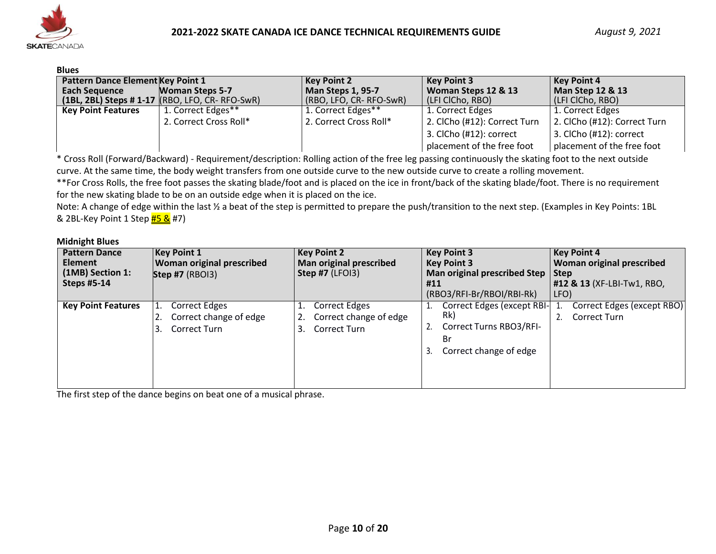

#### **Blues**

| -----                                    |                                                    |                        |                              |                              |
|------------------------------------------|----------------------------------------------------|------------------------|------------------------------|------------------------------|
| <b>Pattern Dance Element Key Point 1</b> |                                                    | <b>Key Point 2</b>     | <b>Key Point 3</b>           | <b>Key Point 4</b>           |
| <b>Each Sequence</b>                     | <b>Woman Steps 5-7</b>                             | Man Steps 1, 95-7      | Woman Steps 12 & 13          | <b>Man Step 12 &amp; 13</b>  |
|                                          | $(1BL, 2BL)$ Steps # 1-17 $(RBO, LFO, CR-RFO-SWR)$ | (RBO, LFO, CR-RFO-SwR) | (LFI ClCho, RBO)             | (LFI ClCho, RBO)             |
| <b>Key Point Features</b>                | 1. Correct Edges**                                 | 1. Correct Edges**     | 1. Correct Edges             | 1. Correct Edges             |
|                                          | 2. Correct Cross Roll*                             | 2. Correct Cross Roll* | 2. ClCho (#12): Correct Turn | 2. ClCho (#12): Correct Turn |
|                                          |                                                    |                        | 3. ClCho (#12): correct      | $3.$ ClCho $(#12)$ : correct |
|                                          |                                                    |                        | placement of the free foot   | placement of the free foot   |

\* Cross Roll (Forward/Backward) - Requirement/description: Rolling action of the free leg passing continuously the skating foot to the next outside curve. At the same time, the body weight transfers from one outside curve to the new outside curve to create a rolling movement.

\*\*For Cross Rolls, the free foot passes the skating blade/foot and is placed on the ice in front/back of the skating blade/foot. There is no requirement for the new skating blade to be on an outside edge when it is placed on the ice.

Note: A change of edge within the last % a beat of the step is permitted to prepare the push/transition to the next step. (Examples in Key Points: 1BL & 2BL-Key Point 1 Step #5 & #7)

#### **Midnight Blues**

| <b>Pattern Dance</b><br><b>Element</b><br>(1MB) Section 1:<br><b>Steps #5-14</b> | <b>Key Point 1</b><br><b>Woman original prescribed</b><br><b>Step #7 (RBOI3)</b> | <b>Key Point 2</b><br><b>Man original prescribed</b><br>Step #7 $(LFOI3)$ | <b>Key Point 4</b><br><b>Key Point 3</b><br>Woman original prescribed<br><b>Key Point 3</b><br><b>Man original prescribed Step</b><br><b>Step</b><br>#12 & 13 (XF-LBI-Tw1, RBO,<br>#11<br>(RBO3/RFI-Br/RBOI/RBI-Rk)<br>LFO) |                                                   |
|----------------------------------------------------------------------------------|----------------------------------------------------------------------------------|---------------------------------------------------------------------------|-----------------------------------------------------------------------------------------------------------------------------------------------------------------------------------------------------------------------------|---------------------------------------------------|
| <b>Key Point Features</b>                                                        | <b>Correct Edges</b><br>Correct change of edge<br>Correct Turn                   | <b>Correct Edges</b><br>Correct change of edge<br>Correct Turn<br>3.      | Correct Edges (except RBI-<br>Rk)<br>Correct Turns RBO3/RFI-<br>Br<br>Correct change of edge<br>3.                                                                                                                          | Correct Edges (except RBO)<br><b>Correct Turn</b> |

The first step of the dance begins on beat one of a musical phrase.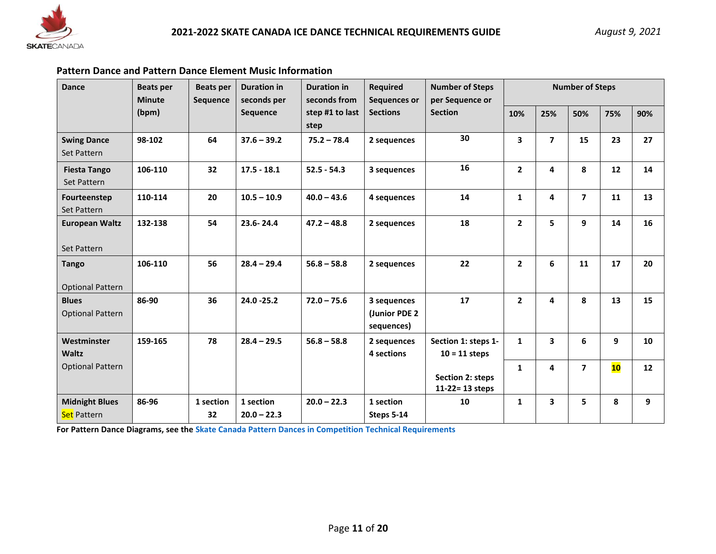

## **Pattern Dance and Pattern Dance Element Music Information**

| <b>Dance</b>                                | <b>Beats per</b><br><b>Minute</b>                                                        | <b>Beats per</b><br><b>Sequence</b> | <b>Duration in</b><br><b>Duration in</b><br>seconds per | seconds from  | <b>Required</b><br>Sequences or            | <b>Number of Steps</b><br>per Sequence or | <b>Number of Steps</b>  |                         |                |    |    |
|---------------------------------------------|------------------------------------------------------------------------------------------|-------------------------------------|---------------------------------------------------------|---------------|--------------------------------------------|-------------------------------------------|-------------------------|-------------------------|----------------|----|----|
|                                             | <b>Sections</b><br>(bpm)<br><b>Sequence</b><br>step #1 to last<br><b>Section</b><br>step |                                     |                                                         | 10%           | 25%                                        | 50%                                       | 75%                     | 90%                     |                |    |    |
| <b>Swing Dance</b><br>Set Pattern           | 98-102                                                                                   | 64                                  | $37.6 - 39.2$                                           | $75.2 - 78.4$ | 2 sequences                                | 30                                        | $\overline{\mathbf{3}}$ | $\overline{ }$          | 15             | 23 | 27 |
| <b>Fiesta Tango</b><br>Set Pattern          | 106-110                                                                                  | 32                                  | $17.5 - 18.1$                                           | $52.5 - 54.3$ | 3 sequences                                | 16                                        | $\overline{2}$          | 4                       | 8              | 12 | 14 |
| Fourteenstep<br>Set Pattern                 | 110-114                                                                                  | 20                                  | $10.5 - 10.9$                                           | $40.0 - 43.6$ | 4 sequences                                | 14                                        | $\mathbf{1}$            | 4                       | $\overline{ }$ | 11 | 13 |
| <b>European Waltz</b><br>Set Pattern        | 132-138                                                                                  | 54                                  | 23.6-24.4                                               | $47.2 - 48.8$ | 2 sequences                                | 18                                        | $\overline{2}$          | 5                       | 9              | 14 | 16 |
| <b>Tango</b><br><b>Optional Pattern</b>     | 106-110                                                                                  | 56                                  | $28.4 - 29.4$                                           | $56.8 - 58.8$ | 2 sequences                                | 22                                        | $\overline{2}$          | 6                       | 11             | 17 | 20 |
| <b>Blues</b><br><b>Optional Pattern</b>     | 86-90                                                                                    | 36                                  | $24.0 - 25.2$                                           | $72.0 - 75.6$ | 3 sequences<br>(Junior PDE 2<br>sequences) | 17                                        | $\overline{2}$          | 4                       | 8              | 13 | 15 |
| Westminster<br><b>Waltz</b>                 | 159-165                                                                                  | 78                                  | $28.4 - 29.5$                                           | $56.8 - 58.8$ | 2 sequences<br>4 sections                  | Section 1: steps 1-<br>$10 = 11$ steps    | $\mathbf{1}$            | $\overline{\mathbf{3}}$ | 6              | 9  | 10 |
| <b>Optional Pattern</b>                     |                                                                                          |                                     |                                                         |               |                                            | Section 2: steps<br>11-22= 13 steps       | $\mathbf{1}$            | 4                       | $\overline{ }$ | 10 | 12 |
| <b>Midnight Blues</b><br><b>Set Pattern</b> | 86-96                                                                                    | 1 section<br>32                     | 1 section<br>$20.0 - 22.3$                              | $20.0 - 22.3$ | 1 section<br>Steps 5-14                    | 10                                        | $\mathbf{1}$            | 3                       | 5.             | 8  | 9  |

**For Pattern Dance Diagrams, see the [Skate Canada Pattern Dances in Competition Technical Requirements](https://program.skatecanada.ca/?product=pattern-dance-competition-technical-requirements-english)**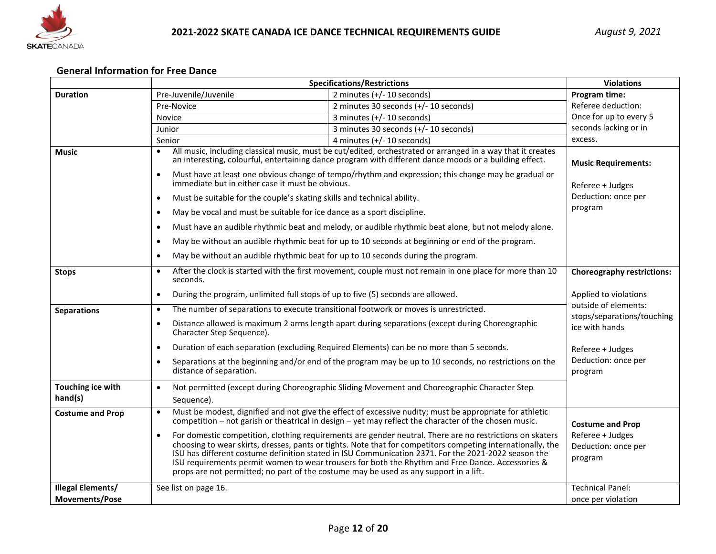

## **General Information for Free Dance**

| Pre-Juvenile/Juvenile<br>2 minutes $(+/- 10$ seconds)<br><b>Duration</b><br>Program time:<br>Referee deduction:<br>2 minutes 30 seconds (+/- 10 seconds)<br>Pre-Novice<br>Once for up to every 5<br>3 minutes (+/- 10 seconds)<br>Novice<br>seconds lacking or in<br>3 minutes 30 seconds (+/- 10 seconds)<br>Junior<br>excess.<br>4 minutes (+/- 10 seconds)<br>Senior<br>All music, including classical music, must be cut/edited, orchestrated or arranged in a way that it creates<br><b>Music</b><br>an interesting, colourful, entertaining dance program with different dance moods or a building effect.<br><b>Music Requirements:</b><br>Must have at least one obvious change of tempo/rhythm and expression; this change may be gradual or<br>$\bullet$<br>immediate but in either case it must be obvious.<br>Referee + Judges<br>Deduction: once per<br>Must be suitable for the couple's skating skills and technical ability.<br>$\bullet$<br>program |  |
|----------------------------------------------------------------------------------------------------------------------------------------------------------------------------------------------------------------------------------------------------------------------------------------------------------------------------------------------------------------------------------------------------------------------------------------------------------------------------------------------------------------------------------------------------------------------------------------------------------------------------------------------------------------------------------------------------------------------------------------------------------------------------------------------------------------------------------------------------------------------------------------------------------------------------------------------------------------------|--|
|                                                                                                                                                                                                                                                                                                                                                                                                                                                                                                                                                                                                                                                                                                                                                                                                                                                                                                                                                                      |  |
|                                                                                                                                                                                                                                                                                                                                                                                                                                                                                                                                                                                                                                                                                                                                                                                                                                                                                                                                                                      |  |
|                                                                                                                                                                                                                                                                                                                                                                                                                                                                                                                                                                                                                                                                                                                                                                                                                                                                                                                                                                      |  |
|                                                                                                                                                                                                                                                                                                                                                                                                                                                                                                                                                                                                                                                                                                                                                                                                                                                                                                                                                                      |  |
|                                                                                                                                                                                                                                                                                                                                                                                                                                                                                                                                                                                                                                                                                                                                                                                                                                                                                                                                                                      |  |
|                                                                                                                                                                                                                                                                                                                                                                                                                                                                                                                                                                                                                                                                                                                                                                                                                                                                                                                                                                      |  |
|                                                                                                                                                                                                                                                                                                                                                                                                                                                                                                                                                                                                                                                                                                                                                                                                                                                                                                                                                                      |  |
|                                                                                                                                                                                                                                                                                                                                                                                                                                                                                                                                                                                                                                                                                                                                                                                                                                                                                                                                                                      |  |
| May be vocal and must be suitable for ice dance as a sport discipline.<br>$\bullet$                                                                                                                                                                                                                                                                                                                                                                                                                                                                                                                                                                                                                                                                                                                                                                                                                                                                                  |  |
| Must have an audible rhythmic beat and melody, or audible rhythmic beat alone, but not melody alone.<br>$\bullet$                                                                                                                                                                                                                                                                                                                                                                                                                                                                                                                                                                                                                                                                                                                                                                                                                                                    |  |
| May be without an audible rhythmic beat for up to 10 seconds at beginning or end of the program.<br>$\bullet$                                                                                                                                                                                                                                                                                                                                                                                                                                                                                                                                                                                                                                                                                                                                                                                                                                                        |  |
| May be without an audible rhythmic beat for up to 10 seconds during the program.<br>$\bullet$                                                                                                                                                                                                                                                                                                                                                                                                                                                                                                                                                                                                                                                                                                                                                                                                                                                                        |  |
| After the clock is started with the first movement, couple must not remain in one place for more than 10<br>$\bullet$<br><b>Choreography restrictions:</b><br><b>Stops</b><br>seconds.                                                                                                                                                                                                                                                                                                                                                                                                                                                                                                                                                                                                                                                                                                                                                                               |  |
| During the program, unlimited full stops of up to five (5) seconds are allowed.<br>Applied to violations<br>$\bullet$                                                                                                                                                                                                                                                                                                                                                                                                                                                                                                                                                                                                                                                                                                                                                                                                                                                |  |
| outside of elements:<br>The number of separations to execute transitional footwork or moves is unrestricted.<br>$\bullet$<br><b>Separations</b><br>stops/separations/touching                                                                                                                                                                                                                                                                                                                                                                                                                                                                                                                                                                                                                                                                                                                                                                                        |  |
| Distance allowed is maximum 2 arms length apart during separations (except during Choreographic<br>$\bullet$<br>ice with hands<br>Character Step Sequence).                                                                                                                                                                                                                                                                                                                                                                                                                                                                                                                                                                                                                                                                                                                                                                                                          |  |
| Duration of each separation (excluding Required Elements) can be no more than 5 seconds.<br>$\bullet$<br>Referee + Judges                                                                                                                                                                                                                                                                                                                                                                                                                                                                                                                                                                                                                                                                                                                                                                                                                                            |  |
| Deduction: once per<br>Separations at the beginning and/or end of the program may be up to 10 seconds, no restrictions on the<br>distance of separation.<br>program                                                                                                                                                                                                                                                                                                                                                                                                                                                                                                                                                                                                                                                                                                                                                                                                  |  |
| Touching ice with<br>Not permitted (except during Choreographic Sliding Movement and Choreographic Character Step<br>$\bullet$                                                                                                                                                                                                                                                                                                                                                                                                                                                                                                                                                                                                                                                                                                                                                                                                                                       |  |
| hand(s)<br>Sequence).                                                                                                                                                                                                                                                                                                                                                                                                                                                                                                                                                                                                                                                                                                                                                                                                                                                                                                                                                |  |
| Must be modest, dignified and not give the effect of excessive nudity; must be appropriate for athletic<br>$\bullet$<br><b>Costume and Prop</b><br>competition – not garish or theatrical in design – yet may reflect the character of the chosen music.<br><b>Costume and Prop</b>                                                                                                                                                                                                                                                                                                                                                                                                                                                                                                                                                                                                                                                                                  |  |
| For domestic competition, clothing requirements are gender neutral. There are no restrictions on skaters<br>Referee + Judges<br>$\bullet$<br>choosing to wear skirts, dresses, pants or tights. Note that for competitors competing internationally, the<br>Deduction: once per<br>ISU has different costume definition stated in ISU Communication 2371. For the 2021-2022 season the<br>program<br>ISU requirements permit women to wear trousers for both the Rhythm and Free Dance. Accessories &<br>props are not permitted; no part of the costume may be used as any support in a lift.                                                                                                                                                                                                                                                                                                                                                                       |  |
| <b>Illegal Elements/</b><br><b>Technical Panel:</b><br>See list on page 16.<br><b>Movements/Pose</b><br>once per violation                                                                                                                                                                                                                                                                                                                                                                                                                                                                                                                                                                                                                                                                                                                                                                                                                                           |  |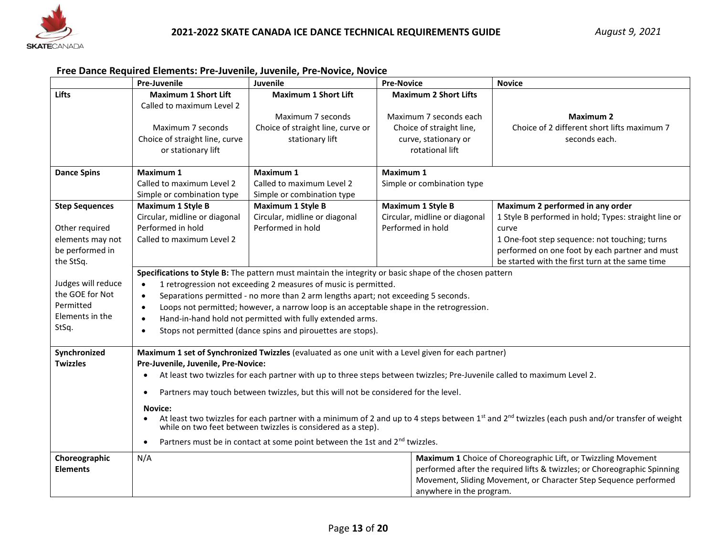

#### **Free Dance Required Elements: Pre-Juvenile, Juvenile, Pre-Novice, Novice**

|                       | <b>Pre-Juvenile</b>                                                                                     | Juvenile<br><b>Pre-Novice</b><br><b>Novice</b>                                                                          |                                                 |                                                                                                                                                                        |  |  |  |  |
|-----------------------|---------------------------------------------------------------------------------------------------------|-------------------------------------------------------------------------------------------------------------------------|-------------------------------------------------|------------------------------------------------------------------------------------------------------------------------------------------------------------------------|--|--|--|--|
| Lifts                 | <b>Maximum 1 Short Lift</b>                                                                             | <b>Maximum 1 Short Lift</b>                                                                                             | <b>Maximum 2 Short Lifts</b>                    |                                                                                                                                                                        |  |  |  |  |
|                       | Called to maximum Level 2                                                                               |                                                                                                                         |                                                 |                                                                                                                                                                        |  |  |  |  |
|                       |                                                                                                         | Maximum 7 seconds                                                                                                       | Maximum 7 seconds each                          | <b>Maximum 2</b>                                                                                                                                                       |  |  |  |  |
|                       | Maximum 7 seconds                                                                                       | Choice of straight line, curve or                                                                                       | Choice of straight line,                        | Choice of 2 different short lifts maximum 7                                                                                                                            |  |  |  |  |
|                       | Choice of straight line, curve                                                                          | stationary lift                                                                                                         | curve, stationary or                            | seconds each.                                                                                                                                                          |  |  |  |  |
|                       | or stationary lift                                                                                      |                                                                                                                         | rotational lift                                 |                                                                                                                                                                        |  |  |  |  |
| <b>Dance Spins</b>    | Maximum 1                                                                                               | Maximum 1                                                                                                               | <b>Maximum 1</b>                                |                                                                                                                                                                        |  |  |  |  |
|                       | Called to maximum Level 2                                                                               | Called to maximum Level 2                                                                                               | Simple or combination type                      |                                                                                                                                                                        |  |  |  |  |
|                       | Simple or combination type                                                                              | Simple or combination type                                                                                              |                                                 |                                                                                                                                                                        |  |  |  |  |
| <b>Step Sequences</b> | <b>Maximum 1 Style B</b>                                                                                | <b>Maximum 1 Style B</b>                                                                                                | <b>Maximum 1 Style B</b>                        | Maximum 2 performed in any order                                                                                                                                       |  |  |  |  |
|                       | Circular, midline or diagonal                                                                           | Circular, midline or diagonal                                                                                           | Circular, midline or diagonal                   | 1 Style B performed in hold; Types: straight line or                                                                                                                   |  |  |  |  |
| Other required        | Performed in hold                                                                                       | Performed in hold                                                                                                       | Performed in hold                               | curve                                                                                                                                                                  |  |  |  |  |
| elements may not      | Called to maximum Level 2                                                                               |                                                                                                                         |                                                 | 1 One-foot step sequence: not touching; turns                                                                                                                          |  |  |  |  |
| be performed in       |                                                                                                         |                                                                                                                         |                                                 | performed on one foot by each partner and must                                                                                                                         |  |  |  |  |
| the StSq.             |                                                                                                         |                                                                                                                         | be started with the first turn at the same time |                                                                                                                                                                        |  |  |  |  |
|                       | Specifications to Style B: The pattern must maintain the integrity or basic shape of the chosen pattern |                                                                                                                         |                                                 |                                                                                                                                                                        |  |  |  |  |
| Judges will reduce    | 1 retrogression not exceeding 2 measures of music is permitted.<br>$\bullet$                            |                                                                                                                         |                                                 |                                                                                                                                                                        |  |  |  |  |
| the GOE for Not       | Separations permitted - no more than 2 arm lengths apart; not exceeding 5 seconds.<br>$\bullet$         |                                                                                                                         |                                                 |                                                                                                                                                                        |  |  |  |  |
| Permitted             | Loops not permitted; however, a narrow loop is an acceptable shape in the retrogression.<br>$\bullet$   |                                                                                                                         |                                                 |                                                                                                                                                                        |  |  |  |  |
| Elements in the       | $\bullet$                                                                                               | Hand-in-hand hold not permitted with fully extended arms.                                                               |                                                 |                                                                                                                                                                        |  |  |  |  |
| StSq.                 | $\bullet$                                                                                               | Stops not permitted (dance spins and pirouettes are stops).                                                             |                                                 |                                                                                                                                                                        |  |  |  |  |
|                       |                                                                                                         |                                                                                                                         |                                                 |                                                                                                                                                                        |  |  |  |  |
| Synchronized          |                                                                                                         | Maximum 1 set of Synchronized Twizzles (evaluated as one unit with a Level given for each partner)                      |                                                 |                                                                                                                                                                        |  |  |  |  |
| <b>Twizzles</b>       | Pre-Juvenile, Juvenile, Pre-Novice:                                                                     |                                                                                                                         |                                                 |                                                                                                                                                                        |  |  |  |  |
|                       | $\bullet$                                                                                               | At least two twizzles for each partner with up to three steps between twizzles; Pre-Juvenile called to maximum Level 2. |                                                 |                                                                                                                                                                        |  |  |  |  |
|                       | ٠                                                                                                       | Partners may touch between twizzles, but this will not be considered for the level.                                     |                                                 |                                                                                                                                                                        |  |  |  |  |
|                       | <b>Novice:</b>                                                                                          |                                                                                                                         |                                                 |                                                                                                                                                                        |  |  |  |  |
|                       |                                                                                                         |                                                                                                                         |                                                 | At least two twizzles for each partner with a minimum of 2 and up to 4 steps between 1 <sup>st</sup> and 2 <sup>nd</sup> twizzles (each push and/or transfer of weight |  |  |  |  |
|                       |                                                                                                         | while on two feet between twizzles is considered as a step).                                                            |                                                 |                                                                                                                                                                        |  |  |  |  |
|                       |                                                                                                         | Partners must be in contact at some point between the 1st and 2 <sup>nd</sup> twizzles.                                 |                                                 |                                                                                                                                                                        |  |  |  |  |
| Choreographic         | N/A                                                                                                     |                                                                                                                         |                                                 | Maximum 1 Choice of Choreographic Lift, or Twizzling Movement                                                                                                          |  |  |  |  |
| <b>Elements</b>       |                                                                                                         |                                                                                                                         |                                                 | performed after the required lifts & twizzles; or Choreographic Spinning                                                                                               |  |  |  |  |
|                       |                                                                                                         |                                                                                                                         |                                                 | Movement, Sliding Movement, or Character Step Sequence performed                                                                                                       |  |  |  |  |
|                       | anywhere in the program.                                                                                |                                                                                                                         |                                                 |                                                                                                                                                                        |  |  |  |  |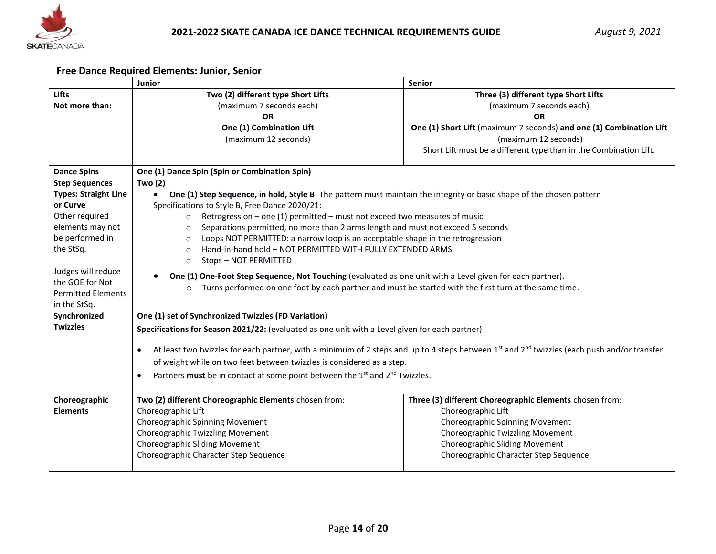

## **Free Dance Required Elements: Junior, Senior**

|                                                                                                                                                                                                                              | Junior                                                                                                                                                                                                                                                                                                                                                                                                                                                                                                                                                                                                                                                                                                                                                                                                                | Senior                                                                                                                                                                                                                                            |  |  |  |  |  |  |
|------------------------------------------------------------------------------------------------------------------------------------------------------------------------------------------------------------------------------|-----------------------------------------------------------------------------------------------------------------------------------------------------------------------------------------------------------------------------------------------------------------------------------------------------------------------------------------------------------------------------------------------------------------------------------------------------------------------------------------------------------------------------------------------------------------------------------------------------------------------------------------------------------------------------------------------------------------------------------------------------------------------------------------------------------------------|---------------------------------------------------------------------------------------------------------------------------------------------------------------------------------------------------------------------------------------------------|--|--|--|--|--|--|
| <b>Lifts</b><br>Not more than:                                                                                                                                                                                               | Two (2) different type Short Lifts<br>(maximum 7 seconds each)<br><b>OR</b><br>One (1) Combination Lift<br>(maximum 12 seconds)                                                                                                                                                                                                                                                                                                                                                                                                                                                                                                                                                                                                                                                                                       | Three (3) different type Short Lifts<br>(maximum 7 seconds each)<br><b>OR</b><br>One (1) Short Lift (maximum 7 seconds) and one (1) Combination Lift<br>(maximum 12 seconds)<br>Short Lift must be a different type than in the Combination Lift. |  |  |  |  |  |  |
| <b>Dance Spins</b>                                                                                                                                                                                                           | One (1) Dance Spin (Spin or Combination Spin)                                                                                                                                                                                                                                                                                                                                                                                                                                                                                                                                                                                                                                                                                                                                                                         |                                                                                                                                                                                                                                                   |  |  |  |  |  |  |
| <b>Step Sequences</b><br><b>Types: Straight Line</b><br>or Curve<br>Other required<br>elements may not<br>be performed in<br>the StSq.<br>Judges will reduce<br>the GOE for Not<br><b>Permitted Elements</b><br>in the StSq. | Two (2)<br>One (1) Step Sequence, in hold, Style B: The pattern must maintain the integrity or basic shape of the chosen pattern<br>Specifications to Style B, Free Dance 2020/21:<br>Retrogression - one (1) permitted - must not exceed two measures of music<br>$\circ$<br>Separations permitted, no more than 2 arms length and must not exceed 5 seconds<br>$\circ$<br>Loops NOT PERMITTED: a narrow loop is an acceptable shape in the retrogression<br>$\Omega$<br>Hand-in-hand hold - NOT PERMITTED WITH FULLY EXTENDED ARMS<br>$\Omega$<br>Stops - NOT PERMITTED<br>$\circ$<br>One (1) One-Foot Step Sequence, Not Touching (evaluated as one unit with a Level given for each partner).<br>Turns performed on one foot by each partner and must be started with the first turn at the same time.<br>$\circ$ |                                                                                                                                                                                                                                                   |  |  |  |  |  |  |
| Synchronized<br><b>Twizzles</b>                                                                                                                                                                                              | One (1) set of Synchronized Twizzles (FD Variation)<br>Specifications for Season 2021/22: (evaluated as one unit with a Level given for each partner)<br>At least two twizzles for each partner, with a minimum of 2 steps and up to 4 steps between 1 <sup>st</sup> and 2 <sup>nd</sup> twizzles (each push and/or transfer<br>of weight while on two feet between twizzles is considered as a step.<br>Partners must be in contact at some point between the 1 <sup>st</sup> and 2 <sup>nd</sup> Twizzles.<br>$\bullet$                                                                                                                                                                                                                                                                                             |                                                                                                                                                                                                                                                   |  |  |  |  |  |  |
| Choreographic<br><b>Elements</b>                                                                                                                                                                                             | Two (2) different Choreographic Elements chosen from:<br>Choreographic Lift<br>Choreographic Spinning Movement<br>Choreographic Twizzling Movement<br><b>Choreographic Sliding Movement</b><br>Choreographic Character Step Sequence                                                                                                                                                                                                                                                                                                                                                                                                                                                                                                                                                                                  | Three (3) different Choreographic Elements chosen from:<br>Choreographic Lift<br>Choreographic Spinning Movement<br>Choreographic Twizzling Movement<br><b>Choreographic Sliding Movement</b><br>Choreographic Character Step Sequence            |  |  |  |  |  |  |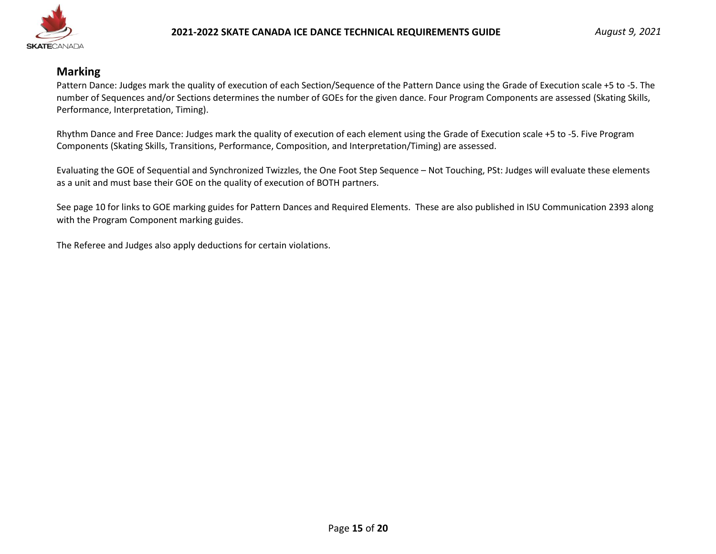

## **Marking**

Pattern Dance: Judges mark the quality of execution of each Section/Sequence of the Pattern Dance using the Grade of Execution scale +5 to -5. The number of Sequences and/or Sections determines the number of GOEs for the given dance. Four Program Components are assessed (Skating Skills, Performance, Interpretation, Timing).

Rhythm Dance and Free Dance: Judges mark the quality of execution of each element using the Grade of Execution scale +5 to -5. Five Program Components (Skating Skills, Transitions, Performance, Composition, and Interpretation/Timing) are assessed.

Evaluating the GOE of Sequential and Synchronized Twizzles, the One Foot Step Sequence – Not Touching, PSt: Judges will evaluate these elements as a unit and must base their GOE on the quality of execution of BOTH partners.

See page 10 for links to GOE marking guides for Pattern Dances and Required Elements. These are also published in ISU Communication 2393 along with the Program Component marking guides.

The Referee and Judges also apply deductions for certain violations.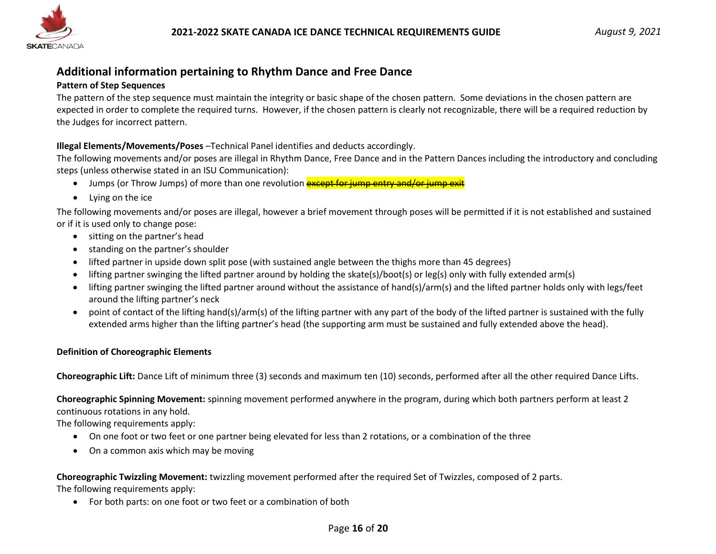

# **Additional information pertaining to Rhythm Dance and Free Dance**

#### **Pattern of Step Sequences**

The pattern of the step sequence must maintain the integrity or basic shape of the chosen pattern. Some deviations in the chosen pattern are expected in order to complete the required turns. However, if the chosen pattern is clearly not recognizable, there will be a required reduction by the Judges for incorrect pattern.

#### **Illegal Elements/Movements/Poses** –Technical Panel identifies and deducts accordingly.

The following movements and/or poses are illegal in Rhythm Dance, Free Dance and in the Pattern Dances including the introductory and concluding steps (unless otherwise stated in an ISU Communication):

- Jumps (or Throw Jumps) of more than one revolution **except for jump entry and/or jump exit**
- Lying on the ice

The following movements and/or poses are illegal, however a brief movement through poses will be permitted if it is not established and sustained or if it is used only to change pose:

- sitting on the partner's head
- standing on the partner's shoulder
- lifted partner in upside down split pose (with sustained angle between the thighs more than 45 degrees)
- lifting partner swinging the lifted partner around by holding the skate(s)/boot(s) or leg(s) only with fully extended arm(s)
- lifting partner swinging the lifted partner around without the assistance of hand(s)/arm(s) and the lifted partner holds only with legs/feet around the lifting partner's neck
- point of contact of the lifting hand(s)/arm(s) of the lifting partner with any part of the body of the lifted partner is sustained with the fully extended arms higher than the lifting partner's head (the supporting arm must be sustained and fully extended above the head).

#### **Definition of Choreographic Elements**

**Choreographic Lift:** Dance Lift of minimum three (3) seconds and maximum ten (10) seconds, performed after all the other required Dance Lifts.

**Choreographic Spinning Movement:** spinning movement performed anywhere in the program, during which both partners perform at least 2 continuous rotations in any hold.

The following requirements apply:

- On one foot or two feet or one partner being elevated for less than 2 rotations, or a combination of the three
- On a common axis which may be moving

# **Choreographic Twizzling Movement:** twizzling movement performed after the required Set of Twizzles, composed of 2 parts.

The following requirements apply:

• For both parts: on one foot or two feet or a combination of both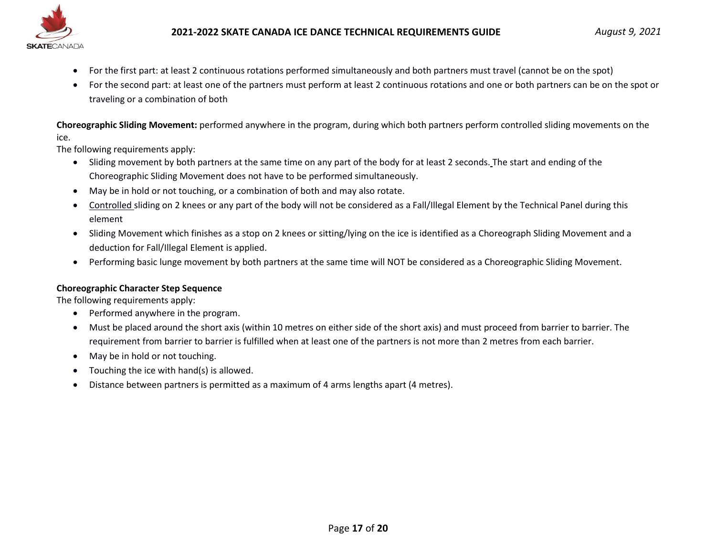

- For the first part: at least 2 continuous rotations performed simultaneously and both partners must travel (cannot be on the spot)
- For the second part: at least one of the partners must perform at least 2 continuous rotations and one or both partners can be on the spot or traveling or a combination of both

**Choreographic Sliding Movement:** performed anywhere in the program, during which both partners perform controlled sliding movements on the ice.

The following requirements apply:

- Sliding movement by both partners at the same time on any part of the body for at least 2 seconds. The start and ending of the Choreographic Sliding Movement does not have to be performed simultaneously.
- May be in hold or not touching, or a combination of both and may also rotate.
- Controlled sliding on 2 knees or any part of the body will not be considered as a Fall/Illegal Element by the Technical Panel during this element
- Sliding Movement which finishes as a stop on 2 knees or sitting/lying on the ice is identified as a Choreograph Sliding Movement and a deduction for Fall/Illegal Element is applied.
- Performing basic lunge movement by both partners at the same time will NOT be considered as a Choreographic Sliding Movement.

#### **Choreographic Character Step Sequence**

The following requirements apply:

- Performed anywhere in the program.
- Must be placed around the short axis (within 10 metres on either side of the short axis) and must proceed from barrier to barrier. The requirement from barrier to barrier is fulfilled when at least one of the partners is not more than 2 metres from each barrier.
- May be in hold or not touching.
- Touching the ice with hand(s) is allowed.
- Distance between partners is permitted as a maximum of 4 arms lengths apart (4 metres).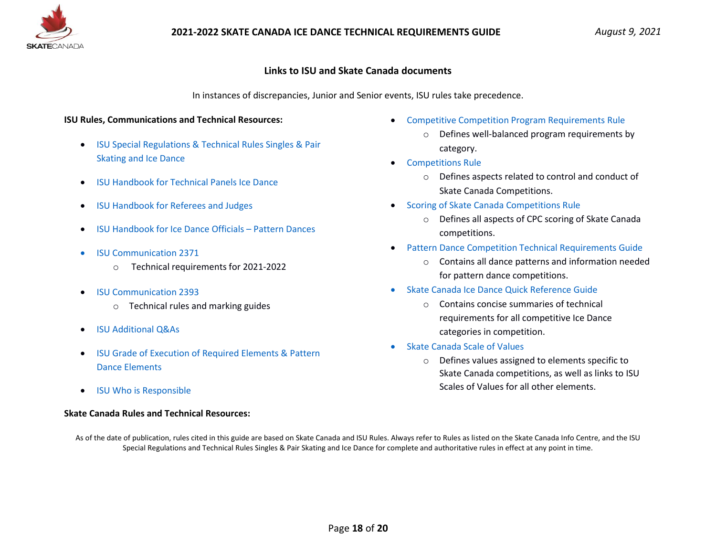

#### **Links to ISU and Skate Canada documents**

In instances of discrepancies, Junior and Senior events, ISU rules take precedence.

#### **ISU Rules, Communications and Technical Resources:**

- [ISU Special Regulations & Technical Rules Singles & Pair](https://www.isu.org/inside-isu/rules-regulations/isu-statutes-constitution-regulations-technical)  [Skating and Ice Dance](https://www.isu.org/inside-isu/rules-regulations/isu-statutes-constitution-regulations-technical)
- [ISU Handbook for Technical Panels Ice Dance](https://www.isu.org/figure-skating/rules/id-handbooks-faq)
- [ISU Handbook for Referees and Judges](https://www.isu.org/figure-skating/rules/id-handbooks-faq)
- [ISU Handbook for Ice Dance Officials](https://www.isu.org/figure-skating/rules/id-handbooks-faq)  Pattern Dances
- [ISU Communication 2371](https://isu.org/figure-skating/rules/fsk-communications/25476-isu-communication-2371/file)
	- o Technical requirements for 2021-2022
- [ISU Communication 2393](https://isu.org/figure-skating/rules/fsk-communications/25800-isu-communication-2393/file)
	- o Technical rules and marking guides
- [ISU Additional Q&As](https://www.isu.org/inside-single-pair-skating-ice-dance/isu-judging-system-fs/handbooks-faq-ice-dance-2)
- [ISU Grade of Execution of Required Elements & Pattern](https://www.isu.org/figure-skating/rules/id-handbooks-faq)  [Dance Elements](https://www.isu.org/figure-skating/rules/id-handbooks-faq)
- [ISU Who is Responsible](https://www.isu.org/figure-skating/rules/id-handbooks-faq)

#### **Skate Canada Rules and Technical Resources:**

- [Competitive Competition Program Requirements Rule](https://info.skatecanada.ca/index.php/en-ca/rules-of-sport/261-competitive-competition-program-requirements.html)
	- o Defines well-balanced program requirements by category.
- [Competitions Rule](https://info.skatecanada.ca/index.php/en-ca/rules-of-sport/54-competitions.html)
	- o Defines aspects related to control and conduct of Skate Canada Competitions.
- [Scoring of Skate Canada Competitions Rule](https://info.skatecanada.ca/index.php/en-ca/rules-of-sport/52-marking-of-skate-canada-competitions.html)
	- o Defines all aspects of CPC scoring of Skate Canada competitions.
- [Pattern Dance Competition Technical Requirements Guide](https://program.skatecanada.ca/?product=pattern-dance-competition-technical-requirements-english)
	- o Contains all dance patterns and information needed for pattern dance competitions.
- [Skate Canada Ice Dance Quick Reference Guide](https://program.skatecanada.ca/product/2021-2022-ice-dance-program-requirements-quick-reference-guide-english-copy/)
	- o Contains concise summaries of technical requirements for all competitive Ice Dance categories in competition.
- [Skate Canada Scale](https://program.skatecanada.ca/product/2021-2022-scale-of-values-sov-tables-english/) of Values
	- o Defines values assigned to elements specific to Skate Canada competitions, as well as links to ISU Scales of Values for all other elements.

As of the date of publication, rules cited in this guide are based on Skate Canada and ISU Rules. Always refer to Rules as listed on the Skate Canada Info Centre, and the ISU Special Regulations and Technical Rules Singles & Pair Skating and Ice Dance for complete and authoritative rules in effect at any point in time.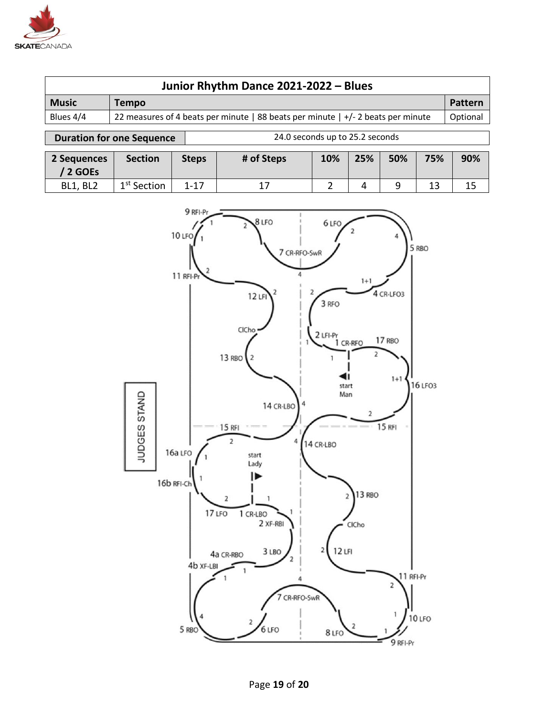

| Junior Rhythm Dance 2021-2022 - Blues |                                                                                              |                                 |         |  |  |  |  |
|---------------------------------------|----------------------------------------------------------------------------------------------|---------------------------------|---------|--|--|--|--|
| <b>Music</b>                          | <b>Tempo</b>                                                                                 |                                 | Pattern |  |  |  |  |
| Blues 4/4                             | 22 measures of 4 beats per minute   88 beats per minute   +/- 2 beats per minute<br>Optional |                                 |         |  |  |  |  |
|                                       | <b>Duration for one Sequence</b>                                                             | 24.0 seconds up to 25.2 seconds |         |  |  |  |  |

| 2 Sequences<br>2 GOES | <b>Section</b>          | <b>Steps</b> | # of Steps | 10% | 25% | 50% | 75% | 90% |
|-----------------------|-------------------------|--------------|------------|-----|-----|-----|-----|-----|
| <b>BL1, BL2</b>       | 1 <sup>st</sup> Section | $1 - 17$     | ∸          |     |     |     | 13  | 15  |



# Page **19** of **20**